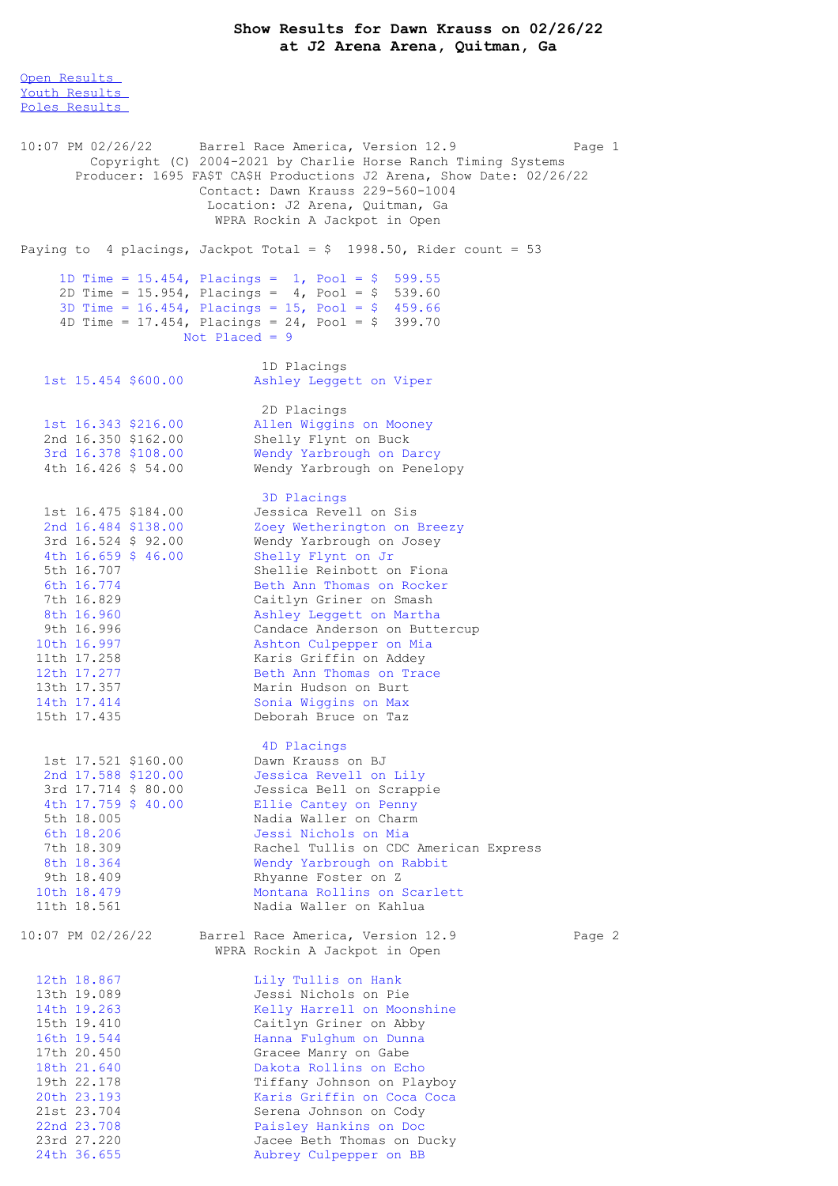## **Show Results for Dawn Krauss on 02/26/22 at J2 Arena Arena, Quitman, Ga**

Open [Results](file:///C:/Users/flori/Downloads/Show_Results_Dawn_Krauss_02_26_22.html#Open) Youth [Results](file:///C:/Users/flori/Downloads/Show_Results_Dawn_Krauss_02_26_22.html#Youth) Poles [Results](file:///C:/Users/flori/Downloads/Show_Results_Dawn_Krauss_02_26_22.html#Poles) 10:07 PM 02/26/22 Barrel Race America, Version 12.9 Page 1 Copyright (C) 2004-2021 by Charlie Horse Ranch Timing Systems Producer: 1695 FA\$T CA\$H Productions J2 Arena, Show Date: 02/26/22 Contact: Dawn Krauss 229-560-1004 Location: J2 Arena, Quitman, Ga WPRA Rockin A Jackpot in Open Paying to 4 placings, Jackpot Total =  $$ 1998.50$ , Rider count = 53 1D Time = 15.454, Placings = 1, Pool = \$ 599.55 2D Time = 15.954, Placings = 4, Pool = \$ 539.60 3D Time = 16.454, Placings = 15, Pool = \$ 459.66 4D Time = 17.454, Placings = 24, Pool = \$ 399.70 Not Placed = 9 1D Placings 1st 15.454 \$600.00 Ashley Leggett on Viper 2D Placings 1st 16.343 \$216.00 Allen Wiggins on Mooney<br>2nd 16.350 \$162.00 Shelly Flynt on Buck 2nd 16.350 \$162.00 Shelly Flynt on Buck 3rd 16.378 \$108.00 Wendy Yarbrough on Darcy 4th 16.426 \$ 54.00 Wendy Yarbrough on Penelopy 3D Placings 1st 16.475 \$184.00 Jessica Revell on Sis 2nd 16.484 \$138.00 Zoey Wetherington on Breezy 3rd 16.524 \$ 92.00 Wendy Yarbrough on Josey 4th 16.659 \$ 46.00 Shelly Flynt on Jr 5th 16.707 Shellie Reinbott on Fiona 6th 16.774 Beth Ann Thomas on Rocker 7th 16.829 Caitlyn Griner on Smash 8th 16.960 Ashley Leggett on Martha 9th 16.996 Candace Anderson on Buttercup 10th 16.997 Ashton Culpepper on Mia 11th 17.258 Karis Griffin on Addey 12th 17.277 Beth Ann Thomas on Trace 13th 17.357 Marin Hudson on Burt 14th 17.414 Sonia Wiggins on Max 15th 17.435 Deborah Bruce on Taz 4D Placings 1st 17.521 \$160.00 Dawn Krauss on BJ 2nd 17.588 \$120.00 Jessica Revell on Lily 3rd 17.714 \$ 80.00 Jessica Bell on Scrappie 4th 17.759 \$ 40.00 Ellie Cantey on Penny 5th 18.005 Nadia Waller on Charm 6th 18.206 Jessi Nichols on Mia 7th 18.309 Rachel Tullis on CDC American Express 8th 18.364 Wendy Yarbrough on Rabbit 9th 18.409 Rhyanne Foster on Z 10th 18.479 Montana Rollins on Scarlett 11th 18.561 Nadia Waller on Kahlua 10:07 PM 02/26/22 Barrel Race America, Version 12.9 Page 2 WPRA Rockin A Jackpot in Open 12th 18.867 Lily Tullis on Hank<br>13th 19.089 Jessi Nichols on Pi 13th 19.089 Jessi Nichols on Pie<br>14th 19.263 Melly Harrell on Moonshine 14th 19.263 Kelly Harrell on Moonshine 15th 19.410 Caitlyn Griner on Abby 16th 19.544 Hanna Fulghum on Dunna 17th 20.450 Gracee Manry on Gabe 18th 21.640 Dakota Rollins on Echo 19th 22.178 Tiffany Johnson on Playboy 20th 23.193 Karis Griffin on Coca Coca 21st 23.704 Serena Johnson on Cody 22nd 23.708 Paisley Hankins on Doc 23rd 27.220 Jacee Beth Thomas on Ducky 24th 36.655 Aubrey Culpepper on BB